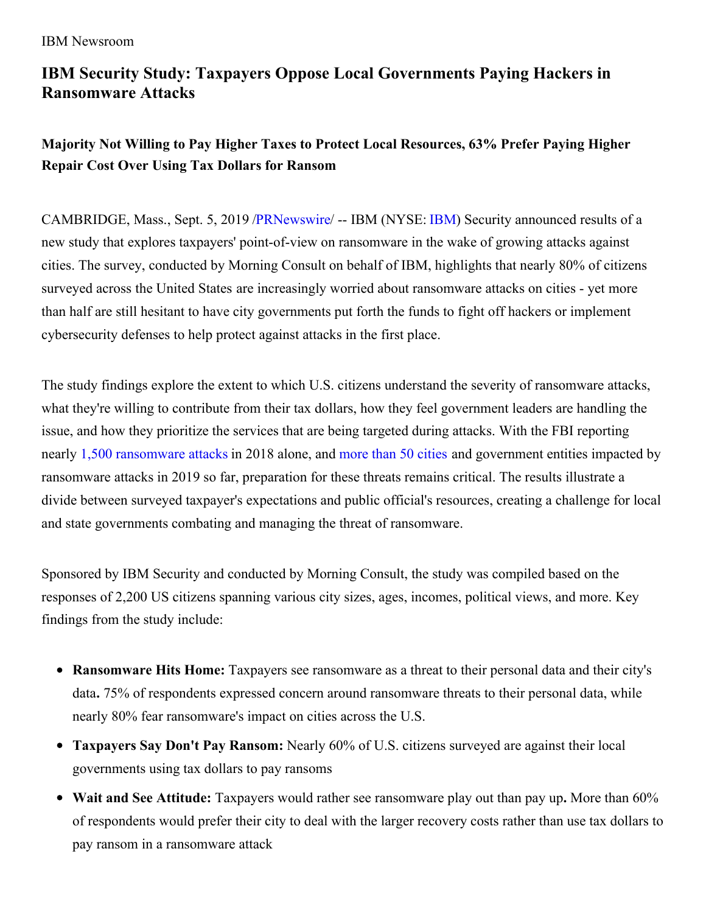# **IBM Security Study: Taxpayers Oppose Local Governments Paying Hackers in Ransomware Attacks**

# **Majority Not Willing to Pay Higher Taxes to Protect Local Resources, 63% Prefer Paying Higher Repair Cost Over Using Tax Dollars for Ransom**

CAMBRIDGE, Mass., Sept. 5, 2019 [/PRNewswire](http://www.prnewswire.com/)/ -- IBM (NYSE: [IBM](https://c212.net/c/link/?t=0&l=en&o=2570709-1&h=2804996277&u=http%3A%2F%2Fwww.ibm.com%2Finvestor&a=IBM)) Security announced results of a new study that explores taxpayers' point-of-view on ransomware in the wake of growing attacks against cities. The survey, conducted by Morning Consult on behalf of IBM, highlights that nearly 80% of citizens surveyed across the United States are increasingly worried about ransomware attacks on cities - yet more than half are still hesitant to have city governments put forth the funds to fight off hackers or implement cybersecurity defenses to help protect against attacks in the first place.

The study findings explore the extent to which U.S. citizens understand the severity of ransomware attacks, what they're willing to contribute from their tax dollars, how they feel government leaders are handling the issue, and how they prioritize the services that are being targeted during attacks. With the FBI reporting nearly 1,500 [ransomware](https://c212.net/c/link/?t=0&l=en&o=2570709-1&h=2647887092&u=https%3A%2F%2Fpdf.ic3.gov%2F2018_IC3Report.pdf&a=1%2C500+ransomware+attacks) attacks in 2018 alone, and [more](https://c212.net/c/link/?t=0&l=en&o=2570709-1&h=961245024&u=https%3A%2F%2Fblog.barracuda.com%2F2019%2F08%2F28%2Fthreat-spotlight-government-ransomware-attacks%2F&a=more+than+50+cities) than 50 cities and government entities impacted by ransomware attacks in 2019 so far, preparation for these threats remains critical. The results illustrate a divide between surveyed taxpayer's expectations and public official's resources, creating a challenge for local and state governments combating and managing the threat of ransomware.

Sponsored by IBM Security and conducted by Morning Consult, the study was compiled based on the responses of 2,200 US citizens spanning various city sizes, ages, incomes, political views, and more. Key findings from the study include:

- **Ransomware Hits Home:** Taxpayers see ransomware as a threat to their personal data and their city's data**.** 75% of respondents expressed concern around ransomware threats to their personal data, while nearly 80% fear ransomware's impact on cities across the U.S.
- **Taxpayers Say Don't Pay Ransom:** Nearly 60% of U.S. citizens surveyed are against their local governments using tax dollars to pay ransoms
- **Wait and See Attitude:** Taxpayers would rather see ransomware play out than pay up**.** More than 60% of respondents would prefer their city to deal with the larger recovery costs rather than use tax dollars to pay ransom in a ransomware attack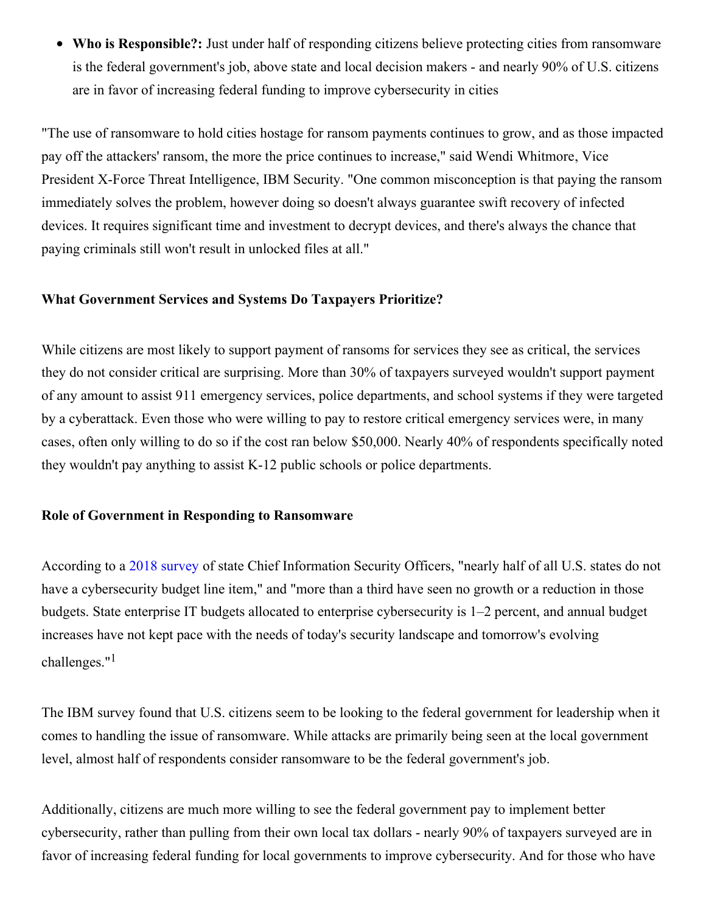**Who is Responsible?:** Just under half of responding citizens believe protecting cities from ransomware is the federal government's job, above state and local decision makers - and nearly 90% of U.S. citizens are in favor of increasing federal funding to improve cybersecurity in cities

"The use of ransomware to hold cities hostage for ransom payments continues to grow, and as those impacted pay off the attackers' ransom, the more the price continues to increase," said Wendi Whitmore, Vice President X-Force Threat Intelligence, IBM Security. "One common misconception is that paying the ransom immediately solves the problem, however doing so doesn't always guarantee swift recovery of infected devices. It requires significant time and investment to decrypt devices, and there's always the chance that paying criminals still won't result in unlocked files at all."

### **What Government Services and Systems Do Taxpayers Prioritize?**

While citizens are most likely to support payment of ransoms for services they see as critical, the services they do not consider critical are surprising. More than 30% of taxpayers surveyed wouldn't support payment of any amount to assist 911 emergency services, police departments, and school systems if they were targeted by a cyberattack. Even those who were willing to pay to restore critical emergency services were, in many cases, often only willing to do so if the cost ran below \$50,000. Nearly 40% of respondents specifically noted they wouldn't pay anything to assist K-12 public schools or police departments.

### **Role of Government in Responding to Ransomware**

According to a 2018 [survey](https://c212.net/c/link/?t=0&l=en&o=2570709-1&h=2891500840&u=https%3A%2F%2Fwww.nascio.org%2FPortals%2F0%2FPublications%2FDocuments%2F2018%2F2018DeloitteNASCIOCybersecurityStudyfinal.pdf&a=2018+survey) of state Chief Information Security Officers, "nearly half of all U.S. states do not have a cybersecurity budget line item," and "more than a third have seen no growth or a reduction in those budgets. State enterprise IT budgets allocated to enterprise cybersecurity is 1–2 percent, and annual budget increases have not kept pace with the needs of today's security landscape and tomorrow's evolving challenges."<sup>1</sup>

The IBM survey found that U.S. citizens seem to be looking to the federal government for leadership when it comes to handling the issue of ransomware. While attacks are primarily being seen at the local government level, almost half of respondents consider ransomware to be the federal government's job.

Additionally, citizens are much more willing to see the federal government pay to implement better cybersecurity, rather than pulling from their own local tax dollars - nearly 90% of taxpayers surveyed are in favor of increasing federal funding for local governments to improve cybersecurity. And for those who have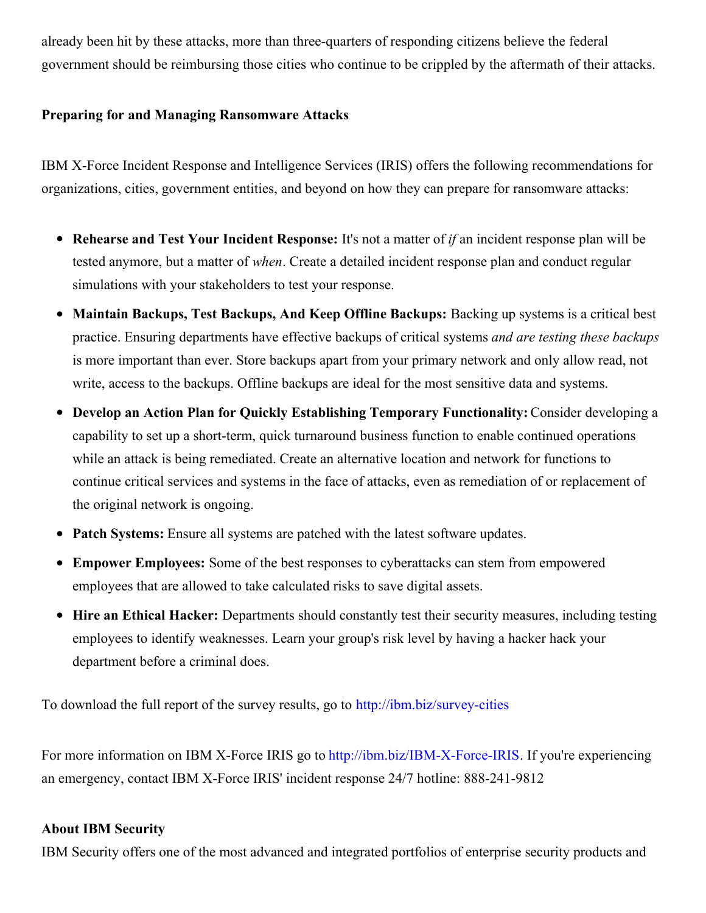already been hit by these attacks, more than three-quarters of responding citizens believe the federal government should be reimbursing those cities who continue to be crippled by the aftermath of their attacks.

## **Preparing for and Managing Ransomware Attacks**

IBM X-Force Incident Response and Intelligence Services (IRIS) offers the following recommendations for organizations, cities, government entities, and beyond on how they can prepare for ransomware attacks:

- **Rehearse and Test Your Incident Response:** It's not a matter of *if* an incident response plan will be tested anymore, but a matter of *when*. Create a detailed incident response plan and conduct regular simulations with your stakeholders to test your response.
- $\bullet$ **Maintain Backups, Test Backups, And Keep Offline Backups:** Backing up systems is a critical best practice. Ensuring departments have effective backups of critical systems *and are testing these backups* is more important than ever. Store backups apart from your primary network and only allow read, not write, access to the backups. Offline backups are ideal for the most sensitive data and systems.
- **Develop an Action Plan for Quickly Establishing Temporary Functionality:** Consider developing a capability to set up a short-term, quick turnaround business function to enable continued operations while an attack is being remediated. Create an alternative location and network for functions to continue critical services and systems in the face of attacks, even as remediation of or replacement of the original network is ongoing.
- **Patch Systems:** Ensure all systems are patched with the latest software updates.
- **Empower Employees:** Some of the best responses to cyberattacks can stem from empowered employees that are allowed to take calculated risks to save digital assets.
- **Hire an Ethical Hacker:** Departments should constantly test their security measures, including testing employees to identify weaknesses. Learn your group's risk level by having a hacker hack your department before a criminal does.

To download the full report of the survey results, go to [http://ibm.biz/survey-cities](https://c212.net/c/link/?t=0&l=en&o=2570709-1&h=1517503278&u=http%3A%2F%2Fibm.biz%2Fsurvey-cities&a=http%3A%2F%2Fibm.biz%2Fsurvey-cities)

For more information on IBM X-Force IRIS go to [http://ibm.biz/IBM-X-Force-IRIS](https://c212.net/c/link/?t=0&l=en&o=2570709-1&h=1936074568&u=http%3A%2F%2Fibm.biz%2FIBM-X-Force-IRIS&a=http%3A%2F%2Fibm.biz%2FIBM-X-Force-IRIS). If you're experiencing an emergency, contact IBM X-Force IRIS' incident response 24/7 hotline: 888-241-9812

#### **About IBM Security**

IBM Security offers one of the most advanced and integrated portfolios of enterprise security products and